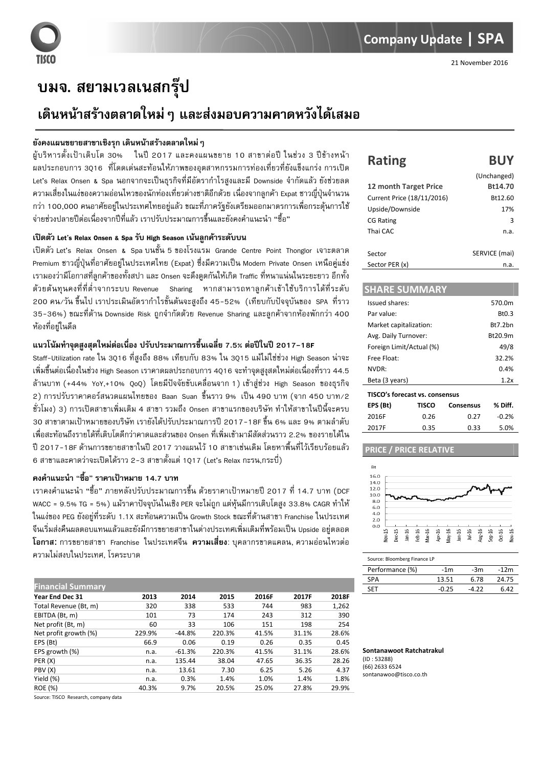# ึบมจ. สยามเวลเนสกรุ๊ป

# ้เดินหน้าสร้างตลาดใหม่ ๆ และส่งมอบความคาดหวังได้เสมอ

### ้ยังคงแผนขยายสาขาเชิงรุก เดินหน้าสร้างตลาดใหม่ ๆ

ผู้บริหารตั้งเป้าเติบโต 30% ในปี 2017 และคงแผนขยาย 10 สาขาต่อปี ในช่วง 3 ปีข้างหน้า ี ผลประกอบการ 3016 ที่โดดเด่นสะท้อนให้ภาพของอตสาหกรรมการท่องเที่ยวที่ยังแข็งแกร่ง การเปิด Let's Relax Onsen & Spa นอกจากจะเป็นธุรกิจที่มีอัตรากำไรสูงและมี Downside จำกัดแล้ว ยังช่วยลด ้ ความเสี่ยงในแง่ของความอ่อนไหวของนักท่องเที่ยวต่างชาติอีกด้วย เนื่องจากลูกค้า Expat ชาวญี่ปุ่นจำนวน ึกว่า 100,000 คนอาศัยอย่ในประเทศไทยอย่แล้ว ขณะที่ภาครั้งยังเตรียมออกมาตรการเพื่อกระต้นการใช้ ้จ่ายช่วงปลายปีต่อเนื่องจากปีที่แล้ว เราปรับประมาณการขึ้นและยังคงคำแนะนำ "ซื้อ"

## เปิดตัว Let's Relax Onsen & Spa รับ High Season เน้นลกค้าระดับบน

เปิดตัว Let's Relax Onsen & Spa บนชั้น 5 ของโรงแรม Grande Centre Point Thonglor เจาะตลาด Premium ชาวญี่ปุ่นที่อาศัยอยู่ในประเทศไทย (Expat) ซึ่งมีความเป็น Modern Private Onsen เหนือคู่แข่ง ี เรามองว่ามีโอกาสที่ลกค้าของทั้งสปา และ Onsen จะดึงดดกันให้เกิด Traffic ที่หนาแน่นในระยะยาว อีกทั้ง ี ด้วยต้นทนคงที่ที่ต่ำจากระบบ Revenue Sharing หากสามารถหาลกค้าเข้าใช้บริการได้ที่ระดับ 200 คน/วัน ขึ้นไป เราประเมินอัตรากำไรขั้นต้นจะสงถึง 45-52% (เทียบกับปัจจบันของ SPA ที่ราว 35-36%) ขณะที่ด้าน Downside Risk ถูกจำกัดด้วย Revenue Sharing และลูกค้าจากห้องพักกว่า 400 ห้องที่อย่ในดีล

## แนวโน้มทำจดสงสดใหม่ต่อเนื่อง ปรับประมาณการขึ้นเฉลี่ย 7.5% ต่อปีในปี 2017-18F

Staff-Utilization rate ใน 3016 ที่สงถึง 88% เทียบกับ 83% ใน 3015 แม้ไม่ใช่ช่วง High Season น่าจะ ้ เพิ่มขึ้นต่อเนื่องในช่วง High Season เราคาดผลประกอบการ 40ุ16 จะทำจุดสูงุสดใหม่ต่อเนื่องที่ราว 44.5 ล้านบาท (+44% YoY,+10% QoQ) โดยมีปัจจัยขับเคลื่อนจาก 1) เข้าสู่ช่วง High Season ของธุรกิจ ่ 2) การปรับราคาคอร์สนวดแผนไทยของ Baan Suan ขึ้นราว 9% เป็น 490 บาท (จาก 450 บาท/2 ์ ชั่วโมง) 3) การเปิดสาขาเพิ่มเติม 4 สาขา รวมถึง Onsen สาขาแรกของบริษัท ทำให้สาขาในปีนี้จะครบ 30 สาขาตามเป้าหมายของบริษัท เรายังได้ปรับประมาณการปี 2017-18F ขึ้น 6% และ 9% ตามลำดับ ู้ เพื่อสะท้อนถึงรายได้ที่เติบโตดีกว่าคาดและส่วนของ Onsen ที่เพิ่มเข้ามามีสัดส่วนราว 2.2% ของรายได้ใน ้ปี 2017-18F ด้านการขยายสาขาในปี 2017 วางแผนไว้ 10 สาขาเช่นเดิม โดยหาพื้นที่ไว้เรียบร้อยแล้ว ่ 6 สาขาและคาดว่าจะเปิดได้ราว 2-3 สาขาตั้งแต่ 1017 (Let's Relax กะรน,กระบี่)

# ิดงคำแนะนำ "ซื้อ" ราคาเป้าหมาย 14.7 บาท

ี เราคงคำแนะนำ "ซื้อ" ภายหลังปรับประมาณการขึ้น ด้วยราคาเป้าหมายปี 2017 ที่ 14.7 บาท (DCF WACC = 9.5% TG = 5%) แม้ราคาปัจจุบันในเชิง PER จะไม่ถูก แต่หุ้นมีการเติบโตสูง 33.8% CAGR ทำให้ ในแง่ของ PEG ยังอย่ที่ระดับ 1.1X สะท้อนความเป็น Growth Stock ขณะที่ด้านสาขา Franchise ในประเทศ จีนเริ่มส่งคืนผลตอบแทนแล้วและยังมีการขยายสาขาในต่างประเทศเพิ่มเติมที่พร้อมเป็น Upside อย่ตลอด โอกาส: การขยายสาขา Franchise ในประเทศจีน **ความเสี่ยง**: บุคลากรขาดแคลน, ความอ่อนไหวต่อ ความไม่สงบในประเทศ. โรคระบาด

| <b>Financial Summary</b><br>Year End Dec 31 | 2013   | 2014     | 2015   | 2016F | 2017F | 2018F |
|---------------------------------------------|--------|----------|--------|-------|-------|-------|
|                                             |        |          |        |       |       |       |
| Total Revenue (Bt, m)                       | 320    | 338      | 533    | 744   | 983   | 1,262 |
| EBITDA (Bt, m)                              | 101    | 73       | 174    | 243   | 312   | 390   |
| Net profit (Bt, m)                          | 60     | 33       | 106    | 151   | 198   | 254   |
| Net profit growth (%)                       | 229.9% | -44.8%   | 220.3% | 41.5% | 31.1% | 28.6% |
| EPS (Bt)                                    | 66.9   | 0.06     | 0.19   | 0.26  | 0.35  | 0.45  |
| EPS growth (%)                              | n.a.   | $-61.3%$ | 220.3% | 41.5% | 31.1% | 28.6% |
| PER(X)                                      | n.a.   | 135.44   | 38.04  | 47.65 | 36.35 | 28.26 |
| PBV (X)                                     | n.a.   | 13.61    | 7.30   | 6.25  | 5.26  | 4.37  |
| Yield (%)                                   | n.a.   | 0.3%     | 1.4%   | 1.0%  | 1.4%  | 1.8%  |
| <b>ROE (%)</b>                              | 40.3%  | 9.7%     | 20.5%  | 25.0% | 27.8% | 29.9% |

Source: TISCO Research, company data

#### **Rating BUY**

|                            | <i><b>ULICHALISCU</b></i> |
|----------------------------|---------------------------|
| 12 month Target Price      | Bt14.70                   |
| Current Price (18/11/2016) | Bt12.60                   |
| Upside/Downside            | 17%                       |
| <b>CG Rating</b>           | з                         |
| Thai CAC                   | n.a.                      |
|                            |                           |
| Sector                     | SERVICE (mai)             |
| Sector PER (x)             | n.a.                      |

#### **SHARF SUMMARY**

| Issued shares:                 |       |           | 570.0m             |
|--------------------------------|-------|-----------|--------------------|
| Par value:                     |       |           | B <sub>t</sub> 0.3 |
| Market capitalization:         |       |           | Bt7.2bn            |
| Avg. Daily Turnover:           |       |           | Bt20.9m            |
| Foreign Limit/Actual (%)       |       |           | 49/8               |
| Free Float:                    |       |           | 32.2%              |
| NVDR:                          |       |           | 0.4%               |
| Beta (3 years)                 |       |           | 1.2x               |
| TISCO's forecast vs. consensus |       |           |                    |
| EPS (Bt)                       | TISCO | Consensus | % Diff.            |
| 2016F                          | 0.26  | 0.27      | $-0.2%$            |

#### PRICE / **PRICE RELATIVE**

 $0.35$ 

 $0.33$ 

5.0%

2017F



#### Source: Bloomberg Finance LP

| Performance (%) | -1m     | -3m   | $-12m$ |
|-----------------|---------|-------|--------|
| <b>SPA</b>      | 13.51   | 6.78  | 24.75  |
| <b>SFT</b>      | $-0.25$ | -4.22 | 6.42   |
|                 |         |       |        |

#### Sontanawoot Ratchatrakul  $(1D \cdot 53288)$  $(66)$  2633 6524 sontanawoo@tisco.co.th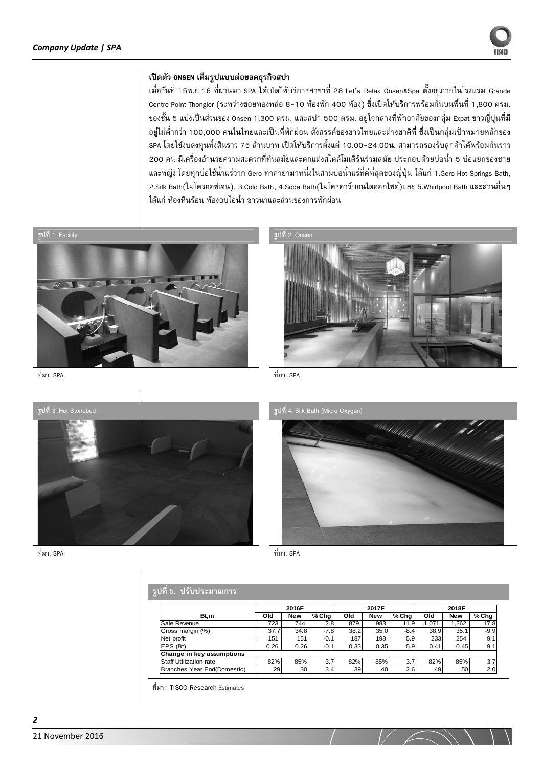

### เปิดตัว onsen เต็มรูปแบบต่อยอดธุรกิจสปา

เมื่อวันที่ 15พ.ย.16 ที่ผ่านมา SPA ได้เปิดให้บริการสาขาที่ 28 Let's Relax Onsen&Spa ตั้งอยู่ภายในโรงแรม Grande Centre Point Thonglor (ระหว่างซอยทองหล่อ 8-10 ห้องพัก 400 ห้อง) ซึ่งเปิดให้บริการพร้อมกันบนพื้นที่ 1,800 ตรม. ของชั้น 5 แบ่งเป็นส่วนของ Onsen 1,300 ตรม. และสปา 500 ตรม. อยู่ใจกลางที่พักอาศัยของกลุ่ม Expat ชาวญี่ปุ่นที่มี ้อยู่ไม่ต่ำกว่า 100,000 คนในไทยและเป็นที่พักผ่อน สังสรรค์ของชาวไทยและต่างชาติที่ ซึ่งเป็นกลุ่มเป้าหมายหลักของ SPA โดยใช้งบลงทุนทั้งสินราว 75 ล้านบาท เปิดให้บริการตั้งแต่ 10.00-24.00น. สามารถรองรับลูกค้าได้พร้อมกันราว ่ 200 คน มีเครื่องอำนวยความสะดวกที่ทันสมัยและตกแต่งสไตล์โมเดิร์นร่วมสมัย ประกอบด้วยบ่อน้ำ 5 บ่อแยกของชาย ี และหญิง โดยทุกบ่อใช้น้ำแร่จาก Gero ทาคายามาหนึ่งในสามบ่อน้ำแร่ที่ดีที่สุดของญี่ปุ่น ได้แก่ 1.Gero Hot Springs Bath, 2.Silk Bath(ไมโครออซิเจน), 3.Cold Bath, 4.Soda Bath(ไมโครคาร์บอนไดออกไซด์)และ 5.Whirlpool Bath และส่วนอื่นๆ ได้แก่ ห้องหินร้อน ห้องอบไอน้ำ ซาวน่าและส่วนของการพักผ่อน

<del>\_\_</del><br>รูปที่ 1. Facility



รูปที่ 2. Onse



ที่มา: SPA

ที่มา: SPA



ที่มา: SPA





ที่มา: SPA

# ้ รูปที่ 5. ปรับประมาณการ

|                               |      | 2016F      |        |      | 2017F      |         |       | 2018F      |        |
|-------------------------------|------|------------|--------|------|------------|---------|-------|------------|--------|
| Bt,m                          | Old  | <b>New</b> | % Chg  | Old  | <b>New</b> | $%$ Chg | Old   | <b>New</b> | % Chg  |
| Sale Revenue                  | 723  | 744        | 2.8    | 879  | 983        | 11.9    | 1.071 | .262       | 17.8   |
| Gross margin (%)              | 37.7 | 34.8       | $-7.8$ | 38.2 | 35.0       | $-8.4$  | 38.9  | 35.1       | $-9.9$ |
| Net profit                    | 151  | 151        | $-0.1$ | 187  | 198        | 5.9     | 233   | 254        | 9.1    |
| EPS (Bt)                      | 0.26 | 0.26       | $-0.1$ | 0.33 | 0.35       | 5.9     | 0.41  | 0.45       | 9.1    |
| Change in key assumptions     |      |            |        |      |            |         |       |            |        |
| <b>Staff Utilization rate</b> | 82%  | 85%        | 3.7    | 82%  | 85%        | 3.7     | 82%   | 85%        | 3.7    |
| Branches Year End(Domestic)   | 29   | 30         | 3.4    | 39   | 40         | 2.6     | 49    | 50         | 2.0    |

ที่มา : TISCO Research Estimates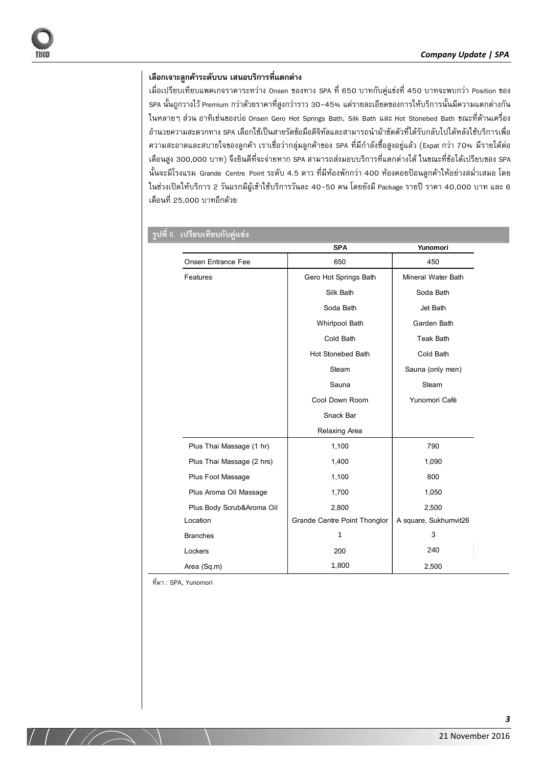# ้ เลือกเจาะลกค้าระดับบน เสนอบริการที่แตกต่าง

เมื่อเปรียบเทียบแพคเกจราคาระหว่าง Onsen ของทาง SPA ที่ 650 บาทกับคู่แข่งที่ 450 บาทจะพบกว่า Position ของ SPA นั้นถูกวางไว้ Premium กว่าด้วยราคาที่สูงกว่าราว 30-45% แต่รายละเอียดของการให้บริการนั้นมีความแตกต่างกัน ในหลายๆ ส่วน อาทิเช่นของบ่อ Onsen Gero Hot Springs Bath, Silk Bath และ Hot Stonebed Bath ขณะที่ด้านเครื่อง อำนวยความสะดวกทาง SPA เลือกใช้เป็นสายรัดข้อมือดิจิทัลและสามารถนำผ้าขัดตัวที่ได้รับกลับไปได้หลังใช้บริการเพื่อ ความสะอาดและสบายใจของลูกค้า เราเชื่อว่ากลุ่มลูกค้าของ SPA ที่มีกำลังซื้อสูงอยู่แล้ว (Expat กว่า 70% มีรายได้ต่อ เดือนสูง 300,000 บาท) จึงยินดีที่จะจ่ายหาก SPA สามารถส่งมอบบริการที่แตกต่างได้ ในขณะที่ข้อได้เปรียบของ SPA นั้นจะมีโรงแรม Grande Centre Point ระดับ 4.5 ดาว ที่มีห้องพักกว่า 400 ห้องคอยป้อนลูกค้าให้อย่างสม่ำเสมอ โดย ในช่วงเปิดให้บริการ 2 วันแรกมีผู้เข้าใช้บริการวันละ 40-50 คน โดยยังมี Package รายปี ราคา 40,000 บาท และ 6 ,เดือนที่ 25,000 บาทอีกด้วย

|                           | <b>SPA</b>                   | Yunomori              |
|---------------------------|------------------------------|-----------------------|
| Onsen Entrance Fee        | 650                          | 450                   |
| Features                  | Gero Hot Springs Bath        | Mineral Water Bath    |
|                           | Silk Bath                    | Soda Bath             |
|                           | Soda Bath                    | Jet Bath              |
|                           | <b>Whirlpool Bath</b>        | Garden Bath           |
|                           | Cold Bath                    | <b>Teak Bath</b>      |
|                           | Hot Stonebed Bath            | Cold Bath             |
|                           | Steam                        | Sauna (only men)      |
|                           | Sauna                        | Steam                 |
|                           | Cool Down Room               | Yunomori Café         |
|                           | Snack Bar                    |                       |
|                           | Relaxing Area                |                       |
| Plus Thai Massage (1 hr)  | 1,100                        | 790                   |
| Plus Thai Massage (2 hrs) | 1,400                        | 1,090                 |
| Plus Foot Massage         | 1,100                        | 800                   |
| Plus Aroma Oil Massage    | 1,700                        | 1,050                 |
| Plus Body Scrub&Aroma Oil | 2,800                        | 2,500                 |
| Location                  | Grande Centre Point Thonglor | A square, Sukhumvit26 |
| <b>Branches</b>           | 1                            | 3                     |
| Lockers                   | 200                          | 240                   |
| Area (Sq.m)               | 1,800                        | 2,500                 |

### $\bar{a}$ ปที่ 6. เปรียบเทียบกับคู่แข่ง

 $\not$ ที่มา : SPA, Yunomori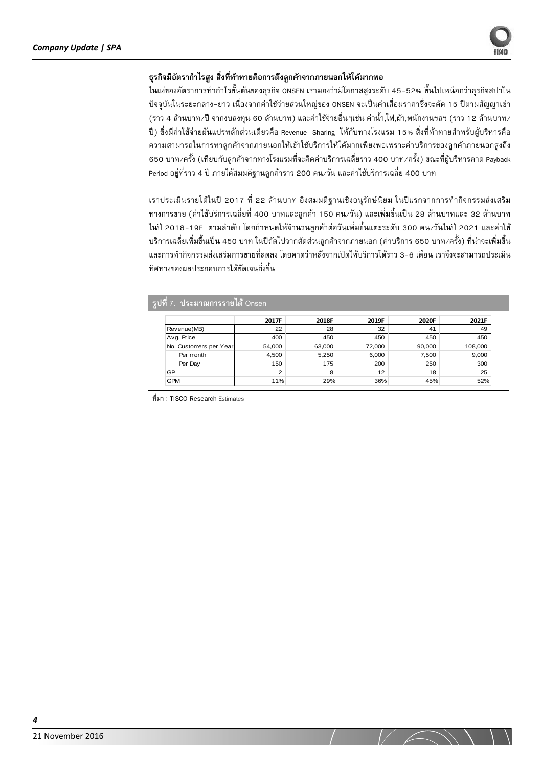# ธรกิจมีอัตรากำไรสง สิ่งที่ท้าทายคือการดึงลกค้าจากภายนอกให้ได้มากพอ

ในแง่ของอัตราการทำกำไรขั้นต้นของธุรกิจ ONSEN เรามองว่ามีโอกาสสูงระดับ 45-52% ขึ้นไปเหนือกว่าธุรกิจสปาใน ี ปัจจุบันในระยะกลาง-ยาว เนื่องจากค่าใช้จ่ายส่วนใหญ่ของ ONSEN จะเป็นค่าเสื่อมราคาซึ่งจะตัด 15 ปีตามสัญญาเช่า (ราว 4 ล้านบาท/ปี จากงบลงทน 60 ล้านบาท) และค่าใช้จ่ายอื่นๆเช่น ค่าน้ำ ไฟ ผ้า พนักงานฯลฯ (ราว 12 ล้านบาท/ ้ปี) ซึ่งมีค่าใช้จ่ายผันแปรหลักส่วนเดียวคือ Revenue Sharing ให้กับทางโรงแรม 15% สิ่งที่ท้าทายสำหรับผับริหารคือ ความสามารถในการหาลูกค้าจากภายนอกให้เข้าใช้บริการให้ได้มากเพียงพอเพราะค่าบริการของลูกค้าภายนอกสูงถึง - 650 บาท/ครั้ง (เทียบกับลกค้าจากทางโรงแรมที่จะคิดค่าบริการเฉลี่ยราว 400 บาท/ครั้ง) ขณะที่ผับริหารคาด Payback Period อยู่ที่ราว 4 ปี ภายใต้สมมติฐานลูกค้าราว 200 คน/วัน และค่าใช้บริการเฉลี่ย 400 บาท

ี เราประเมินรายได้ในปี 2017 ที่ 22 ล้านบาท อิงสมมติฐานเชิงอนุรักษ์นิยม ในปีแรกจากการทำกิจกรรมส่งเสริม ้ทางการขาย (ค่าใช้บริการเฉลี่ยที่ 400 บาทและลูกค้า 150 คน⁄วัน) และเพิ่มขึ้นเป็น 28 ล้านบาทและ 32 ล้านบาท ในปี 2018-19F ตามลำดับ โดยกำหนดให้จำนวนลกค้าต่อวันเพิ่มขึ้นแตะระดับ 300 คน/วันในปี 2021 และค่าใช้ ิ บริการเฉลี่ยเพิ่มขึ้นเป็น 450 บาท ในปีถัดไปจากสัดส่วนลกค้าจากภายนอก (ค่าบริการ 650 บาท∕ครั้ง) ที่น่าจะเพิ่มขึ้น และการทำกิจกรรมส่งเสริมการขายที่ลดลง โดยคาดว่าหลังจากเปิดให้บริการได้ราว 3-6 เดือน เราจึงจะสามารถประเมิน ทิศทางของผลประกอบการได้ชัดเจนยิ่งขึ้น

|                        | 2017F          | 2018F  | 2019F  | 2020F  | 2021F   |
|------------------------|----------------|--------|--------|--------|---------|
| Revenue(MB)            | 22             | 28     | 32     | 41     | 49      |
| Avg. Price             | 400            | 450    | 450    | 450    | 450     |
| No. Customers per Year | 54,000         | 63,000 | 72,000 | 90,000 | 108,000 |
| Per month              | 4.500          | 5,250  | 6,000  | 7,500  | 9,000   |
| Per Day                | 150            | 175    | 200    | 250    | 300     |
| GP                     | $\overline{2}$ | 8      | 12     | 18     | 25      |
| <b>GPM</b>             | 11%            | 29%    | 36%    | 45%    | 52%     |

| รูปที่ 7. ประมาณการรายได้ Onse

ที่มา : TISCO Research Estimates